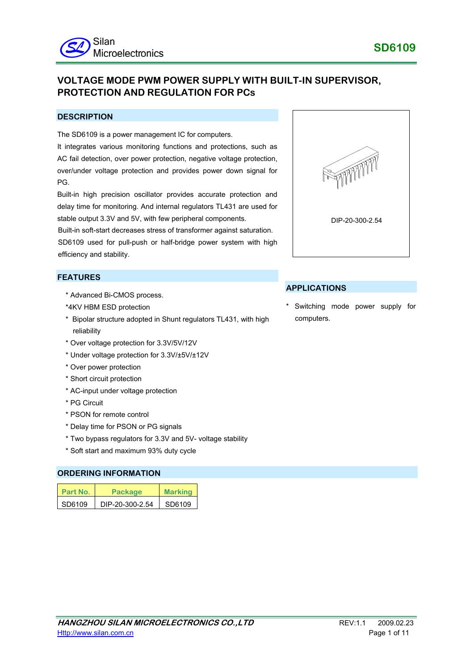# **VOLTAGE MODE PWM POWER SUPPLY WITH BUILT-IN SUPERVISOR, PROTECTION AND REGULATION FOR PCs**

## **DESCRIPTION**

The SD6109 is a power management IC for computers.

It integrates various monitoring functions and protections, such as AC fail detection, over power protection, negative voltage protection, over/under voltage protection and provides power down signal for PG.

Built-in high precision oscillator provides accurate protection and delay time for monitoring. And internal regulators TL431 are used for stable output 3.3V and 5V, with few peripheral components.

Built-in soft-start decreases stress of transformer against saturation. SD6109 used for pull-push or half-bridge power system with high efficiency and stability.

## **FEATURES**

- \* Advanced Bi-CMOS process.
- \*4KV HBM ESD protection
- \* Bipolar structure adopted in Shunt regulators TL431, with high reliability
- \* Over voltage protection for 3.3V/5V/12V
- \* Under voltage protection for 3.3V/±5V/±12V
- \* Over power protection
- \* Short circuit protection
- \* AC-input under voltage protection
- \* PG Circuit
- \* PSON for remote control
- \* Delay time for PSON or PG signals
- \* Two bypass regulators for 3.3V and 5V- voltage stability
- \* Soft start and maximum 93% duty cycle

### **ORDERING INFORMATION**

| Part No. | Package         | <b>Marking</b> |
|----------|-----------------|----------------|
| SD6109   | DIP-20-300-2.54 | SD6109         |



## **APPLICATIONS**

Switching mode power supply for computers.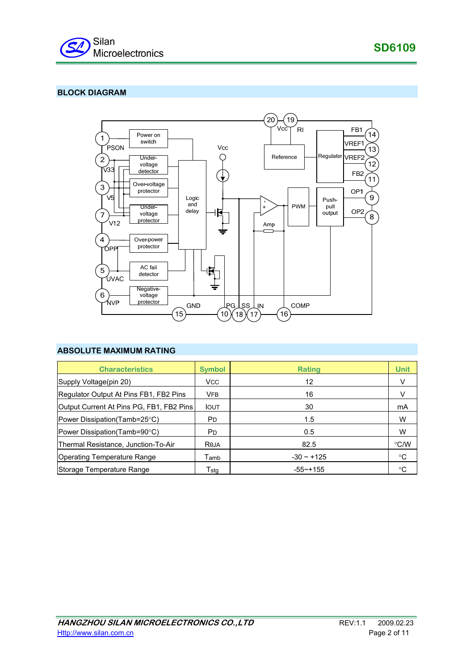

**SD6109**

# **BLOCK DIAGRAM**



## **ABSOLUTE MAXIMUM RATING**

| <b>Characteristics</b>                   | <b>Symbol</b>  | Rating          | <b>Unit</b>   |
|------------------------------------------|----------------|-----------------|---------------|
| Supply Voltage(pin 20)                   | <b>VCC</b>     | 12              | V             |
| Regulator Output At Pins FB1, FB2 Pins   | <b>VFB</b>     | 16              | V             |
| Output Current At Pins PG, FB1, FB2 Pins | <b>IOUT</b>    | 30              | mA            |
| Power Dissipation (Tamb=25°C)            | P <sub>D</sub> | 1.5             | W             |
| Power Dissipation (Tamb=90°C)            | <b>PD</b>      | 0.5             | W             |
| Thermal Resistance, Junction-To-Air      | Reja           | 82.5            | $\degree$ C/W |
| Operating Temperature Range              | Tamb           | $-30 \sim +125$ | °C            |
| Storage Temperature Range                | Tstg           | $-55$ ~+155     | °C            |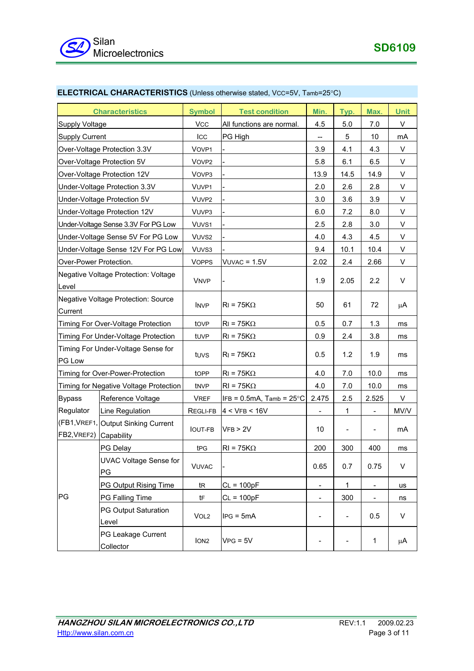| <b>Characteristics</b>                         |                                                   | <b>Symbol</b>     | <b>Test condition</b>       | Min.                         | Typ.                     | Max.                     | <b>Unit</b> |
|------------------------------------------------|---------------------------------------------------|-------------------|-----------------------------|------------------------------|--------------------------|--------------------------|-------------|
| <b>Supply Voltage</b>                          |                                                   | <b>VCC</b>        | All functions are normal.   | 4.5                          | 5.0                      | 7.0                      | V           |
| <b>Supply Current</b>                          |                                                   | ICC               | PG High                     | --                           | 5                        | 10                       | mA          |
| Over-Voltage Protection 3.3V                   |                                                   | VOVP1             |                             | 3.9                          | 4.1                      | 4.3                      | V           |
|                                                | Over-Voltage Protection 5V                        | VOVP <sub>2</sub> |                             | 5.8                          | 6.1                      | 6.5                      | V           |
|                                                | Over-Voltage Protection 12V                       | VOVP3             |                             | 13.9                         | 14.5                     | 14.9                     | V           |
|                                                | Under-Voltage Protection 3.3V                     | VUVP1             |                             | 2.0                          | 2.6                      | 2.8                      | V           |
|                                                | Under-Voltage Protection 5V                       | VUVP2             |                             | 3.0                          | 3.6                      | 3.9                      | V           |
|                                                | Under-Voltage Protection 12V                      | VUVP3             |                             | 6.0                          | 7.2                      | 8.0                      | V           |
|                                                | Under-Voltage Sense 3.3V For PG Low               | VUVS1             |                             | 2.5                          | 2.8                      | 3.0                      | V           |
|                                                | Under-Voltage Sense 5V For PG Low                 | VUVS <sub>2</sub> |                             | 4.0                          | 4.3                      | 4.5                      | V           |
|                                                | Under-Voltage Sense 12V For PG Low                | VUVS3             |                             | 9.4                          | 10.1                     | 10.4                     | V           |
| Over-Power Protection.                         |                                                   | <b>VOPPS</b>      | $VUVAC = 1.5V$              | 2.02                         | 2.4                      | 2.66                     | V           |
| Negative Voltage Protection: Voltage<br>Level  |                                                   | <b>VNVP</b>       |                             | 1.9                          | 2.05                     | 2.2                      | V           |
| Negative Voltage Protection: Source<br>Current |                                                   | <b>INVP</b>       | $RI = 75K\Omega$            | 50                           | 61                       | 72                       | μA          |
|                                                | Timing For Over-Voltage Protection                | tove              | $RI = 75K\Omega$            | 0.5                          | 0.7                      | 1.3                      | ms          |
|                                                | Timing For Under-Voltage Protection               | tuvp              | $RI = 75K\Omega$            | 0.9                          | 2.4                      | 3.8                      | ms          |
| Timing For Under-Voltage Sense for<br>PG Low   |                                                   | tuvs              | $RI = 75K\Omega$            | 0.5                          | 1.2                      | 1.9                      | ms          |
| Timing for Over-Power-Protection               |                                                   | tOPP              | $RI = 75K\Omega$            | 4.0                          | 7.0                      | 10.0                     | ms          |
| Timing for Negative Voltage Protection         |                                                   | tNVP              | $RI = 75K\Omega$            | 4.0                          | 7.0                      | 10.0                     | ms          |
| <b>Bypass</b>                                  | Reference Voltage                                 | <b>VREF</b>       | $IFB = 0.5mA$ , Tamb = 25°C | 2.475                        | 2.5                      | 2.525                    | V           |
| Regulator                                      | Line Regulation                                   | REGLI-FB          | 4 < VFB < 16V               |                              | 1                        |                          | MV/V        |
| FB2, VREF2)                                    | (FB1, VREF1, Output Sinking Current<br>Capability | <b>IOUT-FB</b>    | VFB > 2V                    | 10                           | $\qquad \qquad -$        |                          | mA          |
|                                                | PG Delay                                          | t <sub>PG</sub>   | $RI = 75K\Omega$            | 200                          | 300                      | 400                      | ms          |
| PG                                             | <b>UVAC Voltage Sense for</b><br>PG               | <b>VUVAC</b>      |                             | 0.65                         | 0.7                      | 0.75                     | V           |
|                                                | PG Output Rising Time                             | tR                | $CL = 100pF$                | $\qquad \qquad \blacksquare$ | $\mathbf 1$              | $\overline{\phantom{a}}$ | us          |
|                                                | PG Falling Time                                   | tF                | $CL = 100pF$                | $\qquad \qquad \blacksquare$ | 300                      |                          | ns          |
|                                                | <b>PG Output Saturation</b><br>Level              | VOL <sub>2</sub>  | $IPG = 5mA$                 |                              | $\overline{\phantom{a}}$ | 0.5                      | V           |
|                                                | PG Leakage Current<br>Collector                   | ION <sub>2</sub>  | $VPG = 5V$                  |                              |                          | $\mathbf{1}$             | μA          |

# **ELECTRICAL CHARACTERISTICS** (Unless otherwise stated, VCC=5V, Tamb=25°C)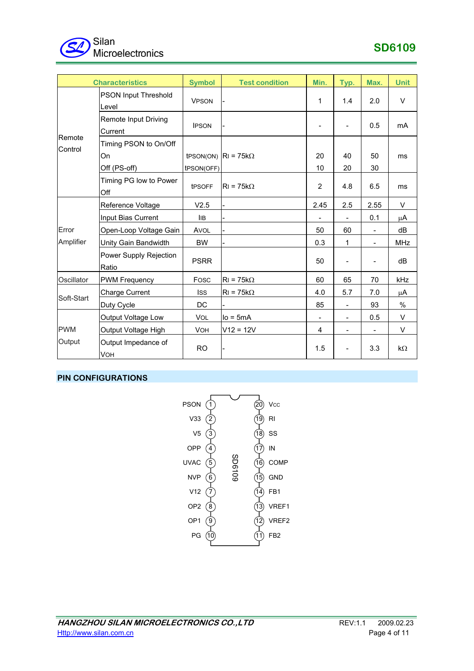

| <b>Characteristics</b> |                                             | <b>Symbol</b> | <b>Test condition</b>       | Min.           | Typ.                         | Max.     | <b>Unit</b> |
|------------------------|---------------------------------------------|---------------|-----------------------------|----------------|------------------------------|----------|-------------|
|                        | <b>PSON Input Threshold</b><br>Level        | <b>VPSON</b>  |                             | 1              | 1.4                          | 2.0      | $\vee$      |
| Remote<br>Control      | <b>Remote Input Driving</b><br>Current      | <b>IPSON</b>  |                             |                |                              | 0.5      | mA          |
|                        | Timing PSON to On/Off<br>On<br>Off (PS-off) | tPSON(OFF)    | tPSON(ON) $ R  = 75k\Omega$ | 20<br>10       | 40<br>20                     | 50<br>30 | ms          |
|                        | Timing PG low to Power<br>Off               | tPSOFF        | $RI = 75k\Omega$            | $\overline{2}$ | 4.8                          | 6.5      | ms          |
|                        | Reference Voltage                           | V2.5          |                             | 2.45           | 2.5                          | 2.55     | V           |
|                        | Input Bias Current                          | <b>IIB</b>    |                             |                |                              | 0.1      | μA          |
| Error                  | Open-Loop Voltage Gain                      | AVOL          |                             | 50             | 60                           | -        | dB          |
| Amplifier              | Unity Gain Bandwidth                        | <b>BW</b>     |                             | 0.3            | 1                            |          | <b>MHz</b>  |
|                        | Power Supply Rejection<br>Ratio             | <b>PSRR</b>   |                             | 50             | $\qquad \qquad \blacksquare$ |          | dB          |
| Oscillator             | <b>PWM Frequency</b>                        | Fosc          | $RI = 75k\Omega$            | 60             | 65                           | 70       | kHz         |
| Soft-Start             | <b>Charge Current</b>                       | <b>ISS</b>    | $RI = 75k\Omega$            | 4.0            | 5.7                          | 7.0      | μA          |
|                        | Duty Cycle                                  | DC.           |                             | 85             |                              | 93       | $\%$        |
|                        | Output Voltage Low                          | <b>VOL</b>    | $Io = 5mA$                  |                |                              | 0.5      | V           |
| <b>PWM</b>             | Output Voltage High                         | <b>VOH</b>    | $V12 = 12V$                 | 4              | $\overline{\phantom{0}}$     |          | V           |
| Output                 | Output Impedance of<br><b>VOH</b>           | <b>RO</b>     |                             | 1.5            |                              | 3.3      | kΩ          |

# **PIN CONFIGURATIONS**

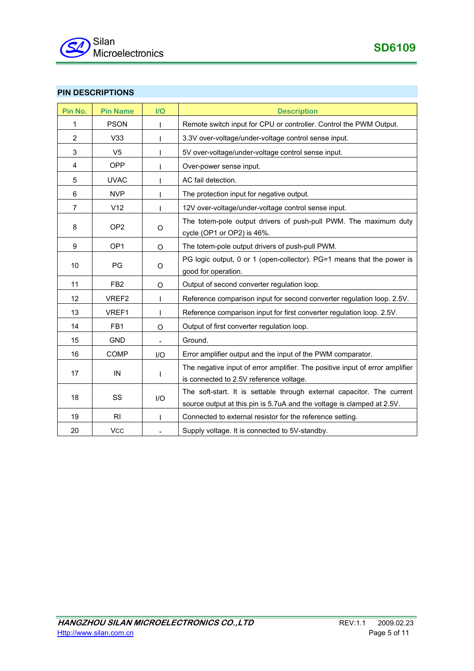

# **PIN DESCRIPTIONS**

| Pin No.        | <b>Pin Name</b> | I/O      | <b>Description</b>                                                                                                                               |
|----------------|-----------------|----------|--------------------------------------------------------------------------------------------------------------------------------------------------|
| 1              | <b>PSON</b>     |          | Remote switch input for CPU or controller. Control the PWM Output.                                                                               |
| $\overline{2}$ | V33             |          | 3.3V over-voltage/under-voltage control sense input.                                                                                             |
| 3              | V <sub>5</sub>  | I        | 5V over-voltage/under-voltage control sense input.                                                                                               |
| 4              | <b>OPP</b>      |          | Over-power sense input.                                                                                                                          |
| 5              | <b>UVAC</b>     |          | AC fail detection.                                                                                                                               |
| 6              | <b>NVP</b>      |          | The protection input for negative output.                                                                                                        |
| $\overline{7}$ | V12             |          | 12V over-voltage/under-voltage control sense input.                                                                                              |
| 8              | OP <sub>2</sub> | O        | The totem-pole output drivers of push-pull PWM. The maximum duty<br>cycle (OP1 or OP2) is 46%.                                                   |
| 9              | OP <sub>1</sub> | O        | The totem-pole output drivers of push-pull PWM.                                                                                                  |
| 10             | PG              | O        | PG logic output, 0 or 1 (open-collector). PG=1 means that the power is<br>good for operation.                                                    |
| 11             | FB <sub>2</sub> | $\Omega$ | Output of second converter regulation loop.                                                                                                      |
| 12             | VREF2           |          | Reference comparison input for second converter regulation loop. 2.5V.                                                                           |
| 13             | VREF1           |          | Reference comparison input for first converter regulation loop. 2.5V.                                                                            |
| 14             | FB1             | O        | Output of first converter regulation loop.                                                                                                       |
| 15             | <b>GND</b>      |          | Ground.                                                                                                                                          |
| 16             | COMP            | I/O      | Error amplifier output and the input of the PWM comparator.                                                                                      |
| 17             | IN              | T        | The negative input of error amplifier. The positive input of error amplifier<br>is connected to 2.5V reference voltage.                          |
| 18             | SS              | I/O      | The soft-start. It is settable through external capacitor. The current<br>source output at this pin is 5.7uA and the voltage is clamped at 2.5V. |
| 19             | RI              | ı        | Connected to external resistor for the reference setting.                                                                                        |
| 20             | <b>VCC</b>      |          | Supply voltage. It is connected to 5V-standby.                                                                                                   |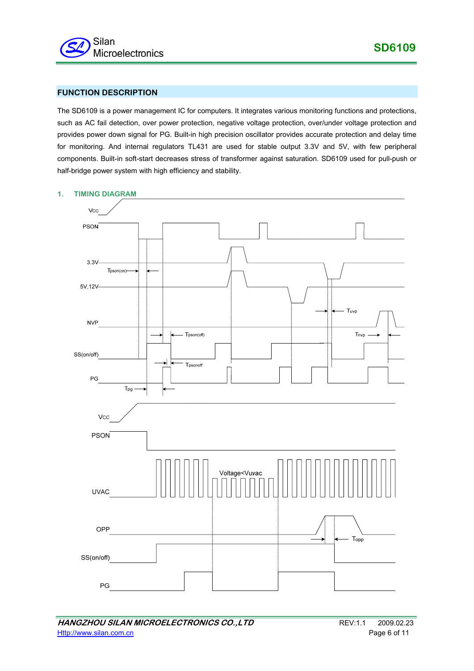

## **FUNCTION DESCRIPTION**

The SD6109 is a power management IC for computers. It integrates various monitoring functions and protections, such as AC fail detection, over power protection, negative voltage protection, over/under voltage protection and provides power down signal for PG. Built-in high precision oscillator provides accurate protection and delay time for monitoring. And internal regulators TL431 are used for stable output 3.3V and 5V, with few peripheral components. Built-in soft-start decreases stress of transformer against saturation. SD6109 used for pull-push or half-bridge power system with high efficiency and stability.



#### **1. TIMING DIAGRAM**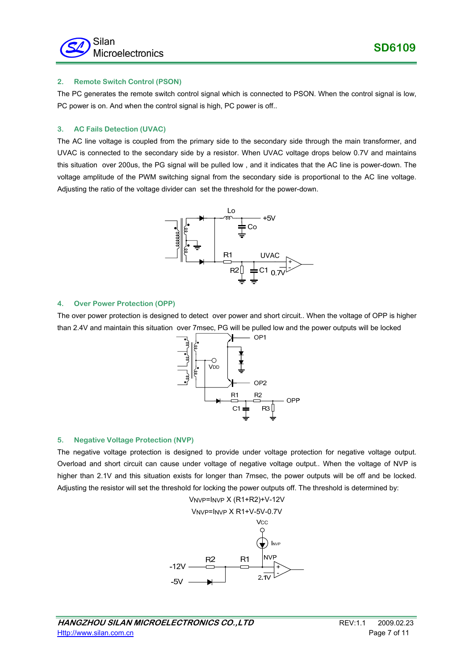### **2. Remote Switch Control (PSON)**

The PC generates the remote switch control signal which is connected to PSON. When the control signal is low, PC power is on. And when the control signal is high, PC power is off..

### **3. AC Fails Detection (UVAC)**

The AC line voltage is coupled from the primary side to the secondary side through the main transformer, and UVAC is connected to the secondary side by a resistor. When UVAC voltage drops below 0.7V and maintains this situation over 200us, the PG signal will be pulled low , and it indicates that the AC line is power-down. The voltage amplitude of the PWM switching signal from the secondary side is proportional to the AC line voltage. Adjusting the ratio of the voltage divider can set the threshold for the power-down.



### **4. Over Power Protection (OPP)**

The over power protection is designed to detect over power and short circuit.. When the voltage of OPP is higher than 2.4V and maintain this situation over 7msec, PG will be pulled low and the power outputs will be locked



### **5. Negative Voltage Protection (NVP)**

The negative voltage protection is designed to provide under voltage protection for negative voltage output. Overload and short circuit can cause under voltage of negative voltage output.. When the voltage of NVP is higher than 2.1V and this situation exists for longer than 7msec, the power outputs will be off and be locked. Adjusting the resistor will set the threshold for locking the power outputs off. The threshold is determined by:

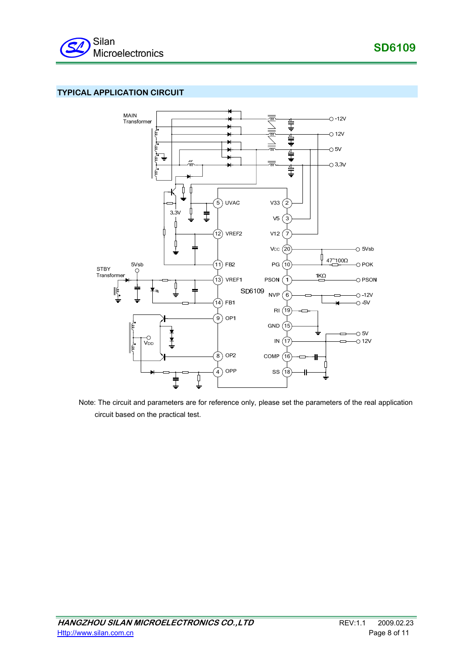# **TYPICAL APPLICATION CIRCUIT**



Note: The circuit and parameters are for reference only, please set the parameters of the real application circuit based on the practical test.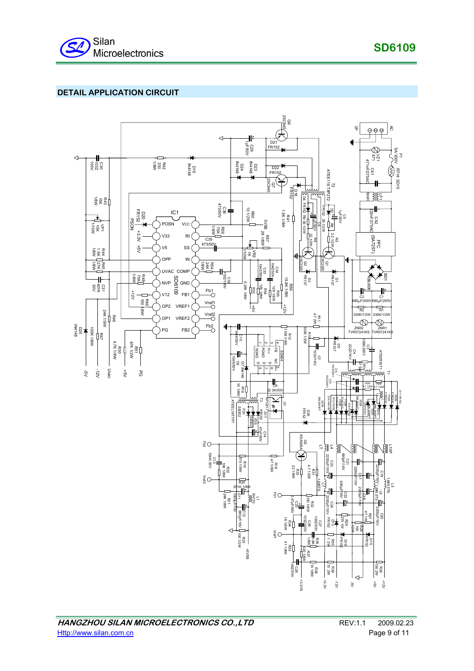

# **DETAIL APPLICATION CIRCUIT**